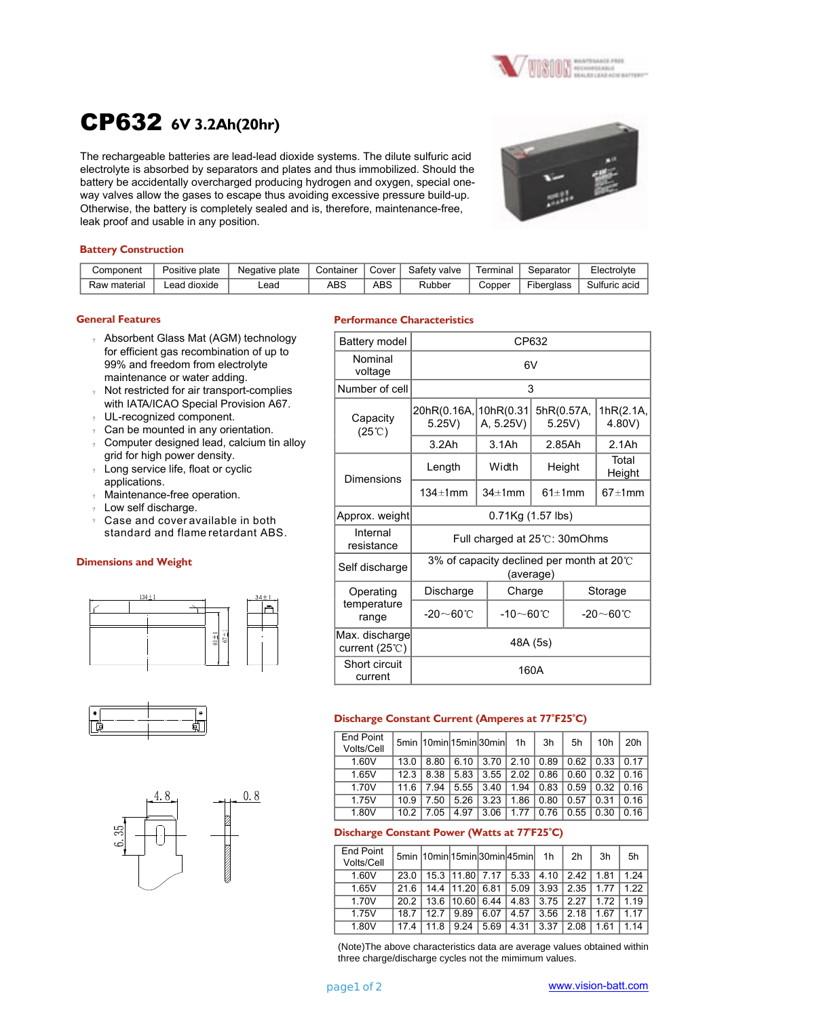

# CP632 **6V 3.2Ah(20hr)**

The rechargeable batteries are lead-lead dioxide systems. The dilute sulfuric acid electrolyte is absorbed by separators and plates and thus immobilized. Should the battery be accidentally overcharged producing hydrogen and oxygen, special oneway valves allow the gases to escape thus avoiding excessive pressure build-up. Otherwise, the battery is completely sealed and is, therefore, maintenance-free, leak proof and usable in any position.



## **Battery Construction**

| Component    | Positive plate | Negative plate | Container | Cover | Safety valve | Terminal 1 | Separator  | Electrolyte   |
|--------------|----------------|----------------|-----------|-------|--------------|------------|------------|---------------|
| Raw material | ∟ead dioxide   | .ead           | ABS       | ABS   | Rubber       | Copper     | Fiberalass | Sulfuric acid |

#### **General Features**

- ? Absorbent Glass Mat (AGM) technology for efficient gas recombination of up to 99% and freedom from electrolyte maintenance or water adding.
- ? Not restricted for air transport-complies with IATA/ICAO Special Provision A67.
- ? UL-recognized component.
- ? Can be mounted in any orientation.
- ? Computer designed lead, calcium tin alloy grid for high power density.
- ? Long service life, float or cyclic applications.
- ? Maintenance-free operation.
- ? Low self discharge.
- $\degree$  Case and cover available in both standard and flame retardant ABS.

## **Dimensions and Weight**







#### **Performance Characteristics**

| Battery model                              | CP632                                                            |                        |                      |                 |                     |  |  |
|--------------------------------------------|------------------------------------------------------------------|------------------------|----------------------|-----------------|---------------------|--|--|
| Nominal<br>voltage                         | 6V                                                               |                        |                      |                 |                     |  |  |
| Number of cell                             | 3                                                                |                        |                      |                 |                     |  |  |
| Capacity<br>$(25^{\circ}\text{C})$         | 20hR(0.16A,<br>5.25V)                                            | 10hR(0.31<br>A, 5.25V) | 5hR(0.57A,<br>5.25V) |                 | 1hR(2.1A,<br>4.80V) |  |  |
|                                            | 3.2Ah                                                            | $3.1$ Ah               | 2.85Ah               |                 | $2.1$ Ah            |  |  |
| Dimensions                                 | Length                                                           | Width                  | Height               |                 | Total<br>Height     |  |  |
|                                            | 134±1mm                                                          | $34 \pm 1$ mm          | $61 \pm 1$ mm        |                 | $67 \pm 1$ mm       |  |  |
| Approx. weight                             | 0.71Kg (1.57 lbs)                                                |                        |                      |                 |                     |  |  |
| Internal<br>resistance                     | Full charged at 25°C: 30mOhms                                    |                        |                      |                 |                     |  |  |
| Self discharge                             | 3% of capacity declined per month at 20 $\degree$ C<br>(average) |                        |                      |                 |                     |  |  |
| Operating                                  | Discharge                                                        | Charge                 |                      | Storage         |                     |  |  |
| temperature<br>range                       | $-20 \sim 60^{\circ}$ C                                          | $-10$ $\sim$ 60°C      |                      | -20 $\sim$ 60°C |                     |  |  |
| Max. discharge<br>current (25 $\degree$ C) | 48A (5s)                                                         |                        |                      |                 |                     |  |  |
| Short circuit<br>current                   | 160A                                                             |                        |                      |                 |                     |  |  |

# **<sup>o</sup> <sup>o</sup> Discharge Constant Current (Amperes at 77 F25 C)**

| 20h           |
|---------------|
| 1017          |
| $\sqrt{0.16}$ |
| l 0 16        |
| 0.16          |
| 0.16          |
|               |

# **o o Discharge Constant Power (Watts at 77 F25 C)**

| End Point  |      | 5min  10min 15min 30min 45min |                 |      |                      | 1h   | 2 <sub>h</sub>                   | 3h    | 5h    |
|------------|------|-------------------------------|-----------------|------|----------------------|------|----------------------------------|-------|-------|
| Volts/Cell |      |                               |                 |      |                      |      |                                  |       |       |
| 1.60V      | 23.0 |                               |                 |      | 15.3 11.80 7.17 5.33 |      | $4.10$   2.42                    | 1.81  | 1 24  |
| 1.65V      | 216  |                               | 14.4 11.20 6.81 |      | 5.09                 | 3.93 | 12.35                            | 1 7 7 | 1 22  |
| 1.70V      |      | 20.2   13.6   10.60   6.44    |                 |      |                      |      | $4.83$   3.75   2.27             | 172   | 1 1 9 |
| 1.75V      | 187  | 127                           | 9.89            | 6.07 | 4.57                 | 3.56 | $\begin{array}{c} 2 \end{array}$ | 167   | 1 1 7 |
| 1.80V      | 174  | 11 8                          | 9.24            | 5.69 | 4.31                 | 3.37 | 2.08                             | 161   | 1 14  |

(Note)The above characteristics data are average values obtained within three charge/discharge cycles not the mimimum values.